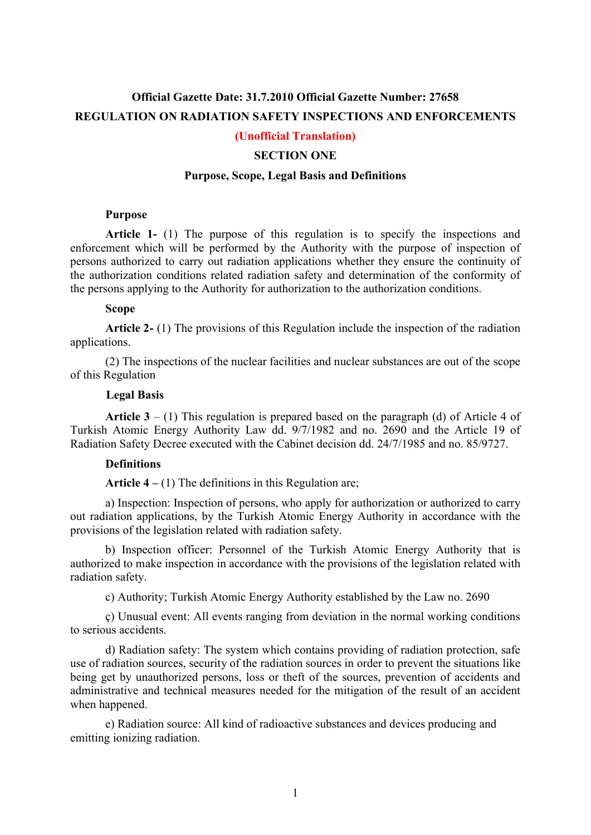# **Official Gazette Date: 31.7.2010 Official Gazette Number: 27658 REGULATION ON RADIATION SAFETY INSPECTIONS AND ENFORCEMENTS**

## **(Unofficial Translation)**

## **SECTION ONE**

## **Purpose, Scope, Legal Basis and Definitions**

#### **Purpose**

**Article 1-** (1) The purpose of this regulation is to specify the inspections and enforcement which will be performed by the Authority with the purpose of inspection of persons authorized to carry out radiation applications whether they ensure the continuity of the authorization conditions related radiation safety and determination of the conformity of the persons applying to the Authority for authorization to the authorization conditions.

#### **Scope**

**Article 2-** (1) The provisions of this Regulation include the inspection of the radiation applications.

(2) The inspections of the nuclear facilities and nuclear substances are out of the scope of this Regulation

#### **Legal Basis**

**Article 3** – (1) This regulation is prepared based on the paragraph (d) of Article 4 of Turkish Atomic Energy Authority Law dd. 9/7/1982 and no. 2690 and the Article 19 of Radiation Safety Decree executed with the Cabinet decision dd. 24/7/1985 and no. 85/9727.

## **Definitions**

**Article 4 –** (1) The definitions in this Regulation are;

a) Inspection: Inspection of persons, who apply for authorization or authorized to carry out radiation applications, by the Turkish Atomic Energy Authority in accordance with the provisions of the legislation related with radiation safety.

b) Inspection officer: Personnel of the Turkish Atomic Energy Authority that is authorized to make inspection in accordance with the provisions of the legislation related with radiation safety.

c) Authority; Turkish Atomic Energy Authority established by the Law no. 2690

ç) Unusual event: All events ranging from deviation in the normal working conditions to serious accidents.

d) Radiation safety: The system which contains providing of radiation protection, safe use of radiation sources, security of the radiation sources in order to prevent the situations like being get by unauthorized persons, loss or theft of the sources, prevention of accidents and administrative and technical measures needed for the mitigation of the result of an accident when happened.

e) Radiation source: All kind of radioactive substances and devices producing and emitting ionizing radiation.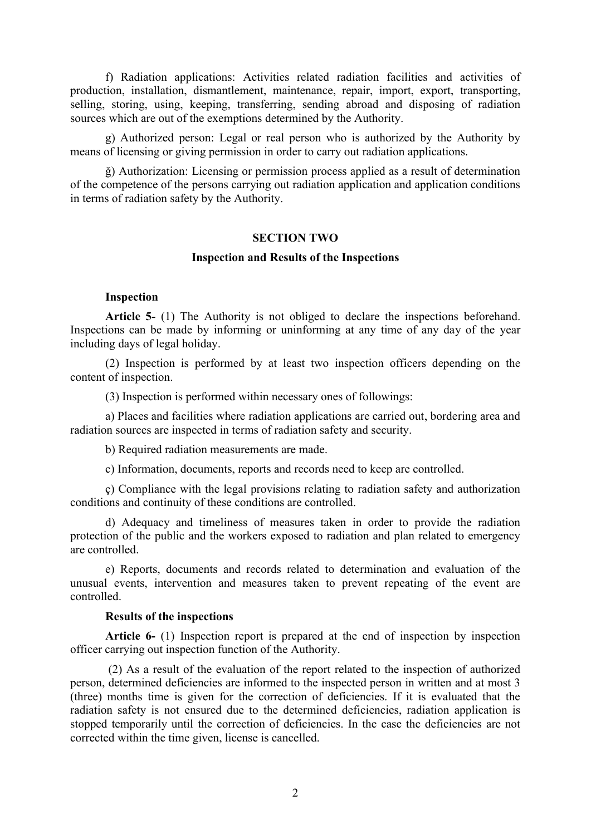f) Radiation applications: Activities related radiation facilities and activities of production, installation, dismantlement, maintenance, repair, import, export, transporting, selling, storing, using, keeping, transferring, sending abroad and disposing of radiation sources which are out of the exemptions determined by the Authority.

g) Authorized person: Legal or real person who is authorized by the Authority by means of licensing or giving permission in order to carry out radiation applications.

ğ) Authorization: Licensing or permission process applied as a result of determination of the competence of the persons carrying out radiation application and application conditions in terms of radiation safety by the Authority.

### **SECTION TWO**

### **Inspection and Results of the Inspections**

## **Inspection**

**Article 5-** (1) The Authority is not obliged to declare the inspections beforehand. Inspections can be made by informing or uninforming at any time of any day of the year including days of legal holiday.

(2) Inspection is performed by at least two inspection officers depending on the content of inspection.

(3) Inspection is performed within necessary ones of followings:

a) Places and facilities where radiation applications are carried out, bordering area and radiation sources are inspected in terms of radiation safety and security.

b) Required radiation measurements are made.

c) Information, documents, reports and records need to keep are controlled.

ç) Compliance with the legal provisions relating to radiation safety and authorization conditions and continuity of these conditions are controlled.

d) Adequacy and timeliness of measures taken in order to provide the radiation protection of the public and the workers exposed to radiation and plan related to emergency are controlled.

e) Reports, documents and records related to determination and evaluation of the unusual events, intervention and measures taken to prevent repeating of the event are controlled.

## **Results of the inspections**

**Article 6-** (1) Inspection report is prepared at the end of inspection by inspection officer carrying out inspection function of the Authority.

(2) As a result of the evaluation of the report related to the inspection of authorized person, determined deficiencies are informed to the inspected person in written and at most 3 (three) months time is given for the correction of deficiencies. If it is evaluated that the radiation safety is not ensured due to the determined deficiencies, radiation application is stopped temporarily until the correction of deficiencies. In the case the deficiencies are not corrected within the time given, license is cancelled.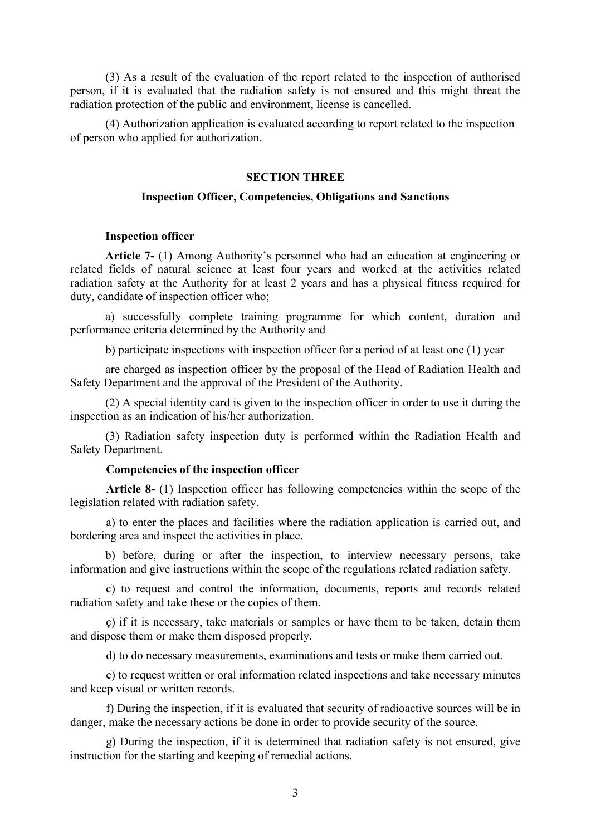(3) As a result of the evaluation of the report related to the inspection of authorised person, if it is evaluated that the radiation safety is not ensured and this might threat the radiation protection of the public and environment, license is cancelled.

(4) Authorization application is evaluated according to report related to the inspection of person who applied for authorization.

# **SECTION THREE**

## **Inspection Officer, Competencies, Obligations and Sanctions**

#### **Inspection officer**

**Article 7-** (1) Among Authority's personnel who had an education at engineering or related fields of natural science at least four years and worked at the activities related radiation safety at the Authority for at least 2 years and has a physical fitness required for duty, candidate of inspection officer who;

a) successfully complete training programme for which content, duration and performance criteria determined by the Authority and

b) participate inspections with inspection officer for a period of at least one (1) year

are charged as inspection officer by the proposal of the Head of Radiation Health and Safety Department and the approval of the President of the Authority.

(2) A special identity card is given to the inspection officer in order to use it during the inspection as an indication of his/her authorization.

(3) Radiation safety inspection duty is performed within the Radiation Health and Safety Department.

#### **Competencies of the inspection officer**

**Article 8-** (1) Inspection officer has following competencies within the scope of the legislation related with radiation safety.

a) to enter the places and facilities where the radiation application is carried out, and bordering area and inspect the activities in place.

b) before, during or after the inspection, to interview necessary persons, take information and give instructions within the scope of the regulations related radiation safety.

c) to request and control the information, documents, reports and records related radiation safety and take these or the copies of them.

ç) if it is necessary, take materials or samples or have them to be taken, detain them and dispose them or make them disposed properly.

d) to do necessary measurements, examinations and tests or make them carried out.

e) to request written or oral information related inspections and take necessary minutes and keep visual or written records.

f) During the inspection, if it is evaluated that security of radioactive sources will be in danger, make the necessary actions be done in order to provide security of the source.

g) During the inspection, if it is determined that radiation safety is not ensured, give instruction for the starting and keeping of remedial actions.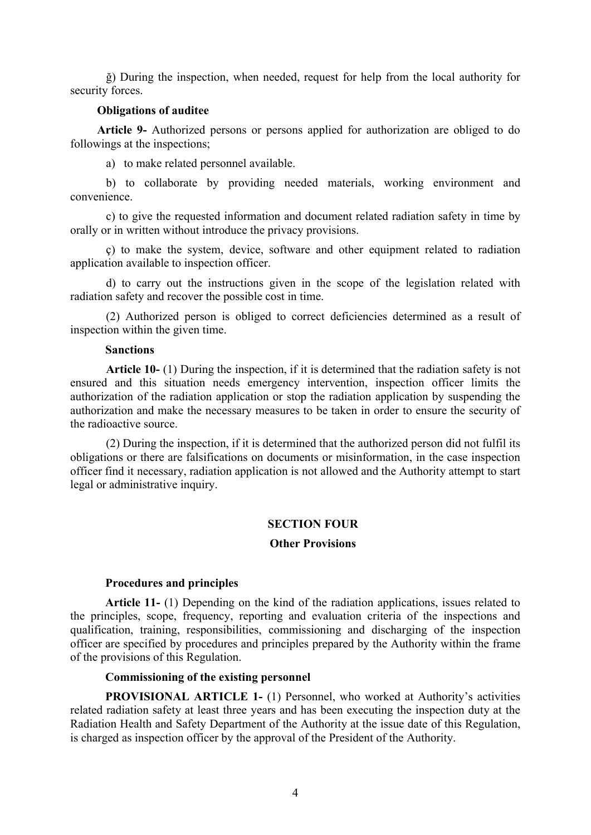ğ) During the inspection, when needed, request for help from the local authority for security forces.

#### **Obligations of auditee**

**Article 9-** Authorized persons or persons applied for authorization are obliged to do followings at the inspections;

a) to make related personnel available.

b) to collaborate by providing needed materials, working environment and convenience.

c) to give the requested information and document related radiation safety in time by orally or in written without introduce the privacy provisions.

ç) to make the system, device, software and other equipment related to radiation application available to inspection officer.

d) to carry out the instructions given in the scope of the legislation related with radiation safety and recover the possible cost in time.

(2) Authorized person is obliged to correct deficiencies determined as a result of inspection within the given time.

## **Sanctions**

**Article 10-** (1) During the inspection, if it is determined that the radiation safety is not ensured and this situation needs emergency intervention, inspection officer limits the authorization of the radiation application or stop the radiation application by suspending the authorization and make the necessary measures to be taken in order to ensure the security of the radioactive source.

(2) During the inspection, if it is determined that the authorized person did not fulfil its obligations or there are falsifications on documents or misinformation, in the case inspection officer find it necessary, radiation application is not allowed and the Authority attempt to start legal or administrative inquiry.

#### **SECTION FOUR**

## **Other Provisions**

## **Procedures and principles**

**Article 11-** (1) Depending on the kind of the radiation applications, issues related to the principles, scope, frequency, reporting and evaluation criteria of the inspections and qualification, training, responsibilities, commissioning and discharging of the inspection officer are specified by procedures and principles prepared by the Authority within the frame of the provisions of this Regulation.

#### **Commissioning of the existing personnel**

**PROVISIONAL ARTICLE 1-** (1) Personnel, who worked at Authority's activities related radiation safety at least three years and has been executing the inspection duty at the Radiation Health and Safety Department of the Authority at the issue date of this Regulation, is charged as inspection officer by the approval of the President of the Authority.